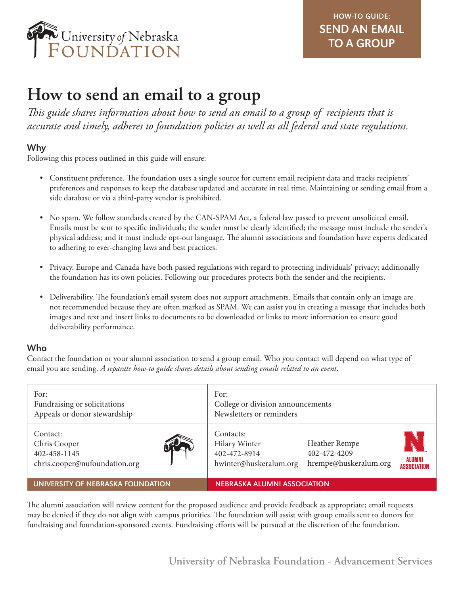

# **How to send an email to a group**

*This guide shares information about how to send an email to a group of recipients that is accurate and timely, adheres to foundation policies as well as all federal and state regulations.*

# Why

Following this process outlined in this guide will ensure:

- Constituent preference. The foundation uses a single source for current email recipient data and tracks recipients' preferences and responses to keep the database updated and accurate in real time. Maintaining or sending email from a side database or via a third-party vendor is prohibited.
- No spam. We follow standards created by the CAN-SPAM Act, a federal law passed to prevent unsolicited email. Emails must be sent to specific individuals; the sender must be clearly identified; the message must include the sender's physical address; and it must include opt-out language. The alumni associations and foundation have experts dedicated to adhering to ever-changing laws and best practices.
- Privacy. Europe and Canada have both passed regulations with regard to protecting individuals' privacy; additionally the foundation has its own policies. Following our procedures protects both the sender and the recipients.
- Deliverability. The foundation's email system does not support attachments. Emails that contain only an image are not recommended because they are often marked as SPAM. We can assist you in creating a message that includes both images and text and insert links to documents to be downloaded or links to more information to ensure good deliverability performance.

# Who

Contact the foundation or your alumni association to send a group email. Who you contact will depend on what type of email you are sending. *A separate how-to guide shares details about sending emails related to an event*.

| For:<br>Fundraising or solicitations<br>Appeals or donor stewardship      | For:<br>College or division announcements<br>Newsletters or reminders                                                                                                 |
|---------------------------------------------------------------------------|-----------------------------------------------------------------------------------------------------------------------------------------------------------------------|
| Contact:<br>Chris Cooper<br>402-458-1145<br>chris.cooper@nufoundation.org | Contacts:<br>Heather Rempe<br><b>Hilary Winter</b><br>402-472-4209<br>402-472-8914<br><b>ALUMNI</b><br>hrempe@huskeralum.org<br>hwinter@huskeralum.org<br>ASSOCIATION |
| UNIVERSITY OF NEBRASKA FOUNDATION                                         | <b>NEBRASKA ALUMNI ASSOCIATION</b>                                                                                                                                    |

The alumni association will review content for the proposed audience and provide feedback as appropriate; email requests may be denied if they do not align with campus priorities. The foundation will assist with group emails sent to donors for fundraising and foundation-sponsored events. Fundraising efforts will be pursued at the discretion of the foundation.